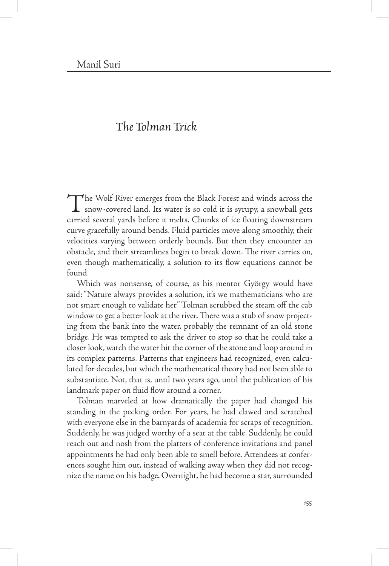## *The Tolman Trick*

The Wolf River emerges from the Black Forest and winds across the snow-covered land. Its water is so cold it is syrupy, a snowball gets carried several yards before it melts. Chunks of ice floating downstream curve gracefully around bends. Fluid particles move along smoothly, their velocities varying between orderly bounds. But then they encounter an obstacle, and their streamlines begin to break down. The river carries on, even though mathematically, a solution to its flow equations cannot be found.

Which was nonsense, of course, as his mentor György would have said: "Nature always provides a solution, it's we mathematicians who are not smart enough to validate her." Tolman scrubbed the steam off the cab window to get a better look at the river. There was a stub of snow projecting from the bank into the water, probably the remnant of an old stone bridge. He was tempted to ask the driver to stop so that he could take a closer look, watch the water hit the corner of the stone and loop around in its complex patterns. Patterns that engineers had recognized, even calculated for decades, but which the mathematical theory had not been able to substantiate. Not, that is, until two years ago, until the publication of his landmark paper on fluid flow around a corner.

Tolman marveled at how dramatically the paper had changed his standing in the pecking order. For years, he had clawed and scratched with everyone else in the barnyards of academia for scraps of recognition. Suddenly, he was judged worthy of a seat at the table. Suddenly, he could reach out and nosh from the platters of conference invitations and panel appointments he had only been able to smell before. Attendees at conferences sought him out, instead of walking away when they did not recognize the name on his badge. Overnight, he had become a star, surrounded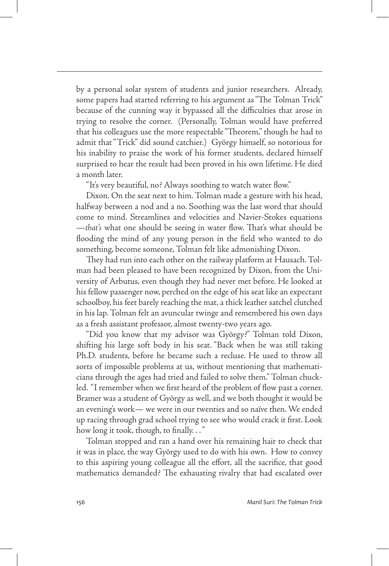by a personal solar system of students and junior researchers. Already, some papers had started referring to his argument as "The Tolman Trick" because of the cunning way it bypassed all the difficulties that arose in trying to resolve the corner. (Personally, Tolman would have preferred that his colleagues use the more respectable "Theorem," though he had to admit that "Trick" did sound catchier.) György himself, so notorious for his inability to praise the work of his former students, declared himself surprised to hear the result had been proved in his own lifetime. He died a month later.

"It's very beautiful, no? Always soothing to watch water flow."

Dixon. On the seat next to him. Tolman made a gesture with his head, halfway between a nod and a no. Soothing was the last word that should come to mind. Streamlines and velocities and Navier-Stokes equations —*that's* what one should be seeing in water flow. That's what should be flooding the mind of any young person in the field who wanted to do something, become someone, Tolman felt like admonishing Dixon.

They had run into each other on the railway platform at Hausach. Tolman had been pleased to have been recognized by Dixon, from the University of Arbutus, even though they had never met before. He looked at his fellow passenger now, perched on the edge of his seat like an expectant schoolboy, his feet barely reaching the mat, a thick leather satchel clutched in his lap. Tolman felt an avuncular twinge and remembered his own days as a fresh assistant professor, almost twenty-two years ago.

"Did you know that my advisor was György?" Tolman told Dixon, shifting his large soft body in his seat. "Back when he was still taking Ph.D. students, before he became such a recluse. He used to throw all sorts of impossible problems at us, without mentioning that mathematicians through the ages had tried and failed to solve them." Tolman chuckled. "I remember when we first heard of the problem of flow past a corner. Bramer was a student of György as well, and we both thought it would be an evening's work— we were in our twenties and so naïve then. We ended up racing through grad school trying to see who would crack it first. Look how long it took, though, to finally. . . "

Tolman stopped and ran a hand over his remaining hair to check that it was in place, the way György used to do with his own. How to convey to this aspiring young colleague all the effort, all the sacrifice, that good mathematics demanded? The exhausting rivalry that had escalated over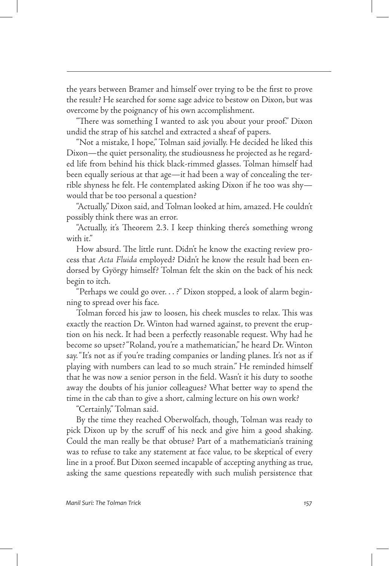the years between Bramer and himself over trying to be the first to prove the result? He searched for some sage advice to bestow on Dixon, but was overcome by the poignancy of his own accomplishment.

"There was something I wanted to ask you about your proof." Dixon undid the strap of his satchel and extracted a sheaf of papers.

"Not a mistake, I hope," Tolman said jovially. He decided he liked this Dixon—the quiet personality, the studiousness he projected as he regarded life from behind his thick black-rimmed glasses. Tolman himself had been equally serious at that age—it had been a way of concealing the terrible shyness he felt. He contemplated asking Dixon if he too was shy would that be too personal a question?

"Actually," Dixon said, and Tolman looked at him, amazed. He couldn't possibly think there was an error.

"Actually, it's Theorem 2.3. I keep thinking there's something wrong with it."

How absurd. The little runt. Didn't he know the exacting review process that *Acta Fluida* employed? Didn't he know the result had been endorsed by György himself? Tolman felt the skin on the back of his neck begin to itch.

"Perhaps we could go over. . . ?" Dixon stopped, a look of alarm beginning to spread over his face.

Tolman forced his jaw to loosen, his cheek muscles to relax. This was exactly the reaction Dr. Winton had warned against, to prevent the eruption on his neck. It had been a perfectly reasonable request. Why had he become so upset? "Roland, you're a mathematician," he heard Dr. Winton say. "It's not as if you're trading companies or landing planes. It's not as if playing with numbers can lead to so much strain." He reminded himself that he was now a senior person in the field. Wasn't it his duty to soothe away the doubts of his junior colleagues? What better way to spend the time in the cab than to give a short, calming lecture on his own work?

"Certainly," Tolman said.

By the time they reached Oberwolfach, though, Tolman was ready to pick Dixon up by the scruff of his neck and give him a good shaking. Could the man really be that obtuse? Part of a mathematician's training was to refuse to take any statement at face value, to be skeptical of every line in a proof. But Dixon seemed incapable of accepting anything as true, asking the same questions repeatedly with such mulish persistence that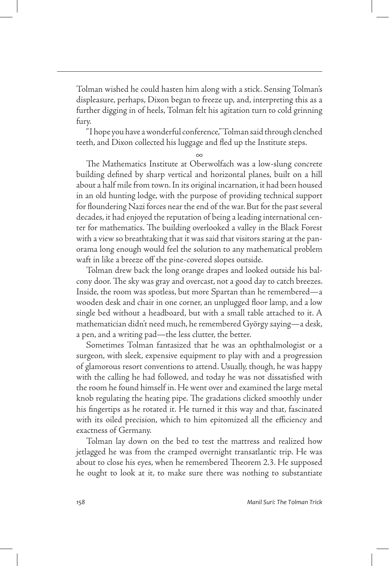Tolman wished he could hasten him along with a stick. Sensing Tolman's displeasure, perhaps, Dixon began to freeze up, and, interpreting this as a further digging in of heels, Tolman felt his agitation turn to cold grinning fury.

"I hope you have a wonderful conference," Tolman said through clenched teeth, and Dixon collected his luggage and fled up the Institute steps.

∞

The Mathematics Institute at Oberwolfach was a low-slung concrete building defined by sharp vertical and horizontal planes, built on a hill about a half mile from town. In its original incarnation, it had been housed in an old hunting lodge, with the purpose of providing technical support for floundering Nazi forces near the end of the war. But for the past several decades, it had enjoyed the reputation of being a leading international center for mathematics. The building overlooked a valley in the Black Forest with a view so breathtaking that it was said that visitors staring at the panorama long enough would feel the solution to any mathematical problem waft in like a breeze off the pine-covered slopes outside.

Tolman drew back the long orange drapes and looked outside his balcony door. The sky was gray and overcast, not a good day to catch breezes. Inside, the room was spotless, but more Spartan than he remembered—a wooden desk and chair in one corner, an unplugged floor lamp, and a low single bed without a headboard, but with a small table attached to it. A mathematician didn't need much, he remembered György saying—a desk, a pen, and a writing pad—the less clutter, the better.

Sometimes Tolman fantasized that he was an ophthalmologist or a surgeon, with sleek, expensive equipment to play with and a progression of glamorous resort conventions to attend. Usually, though, he was happy with the calling he had followed, and today he was not dissatisfied with the room he found himself in. He went over and examined the large metal knob regulating the heating pipe. The gradations clicked smoothly under his fingertips as he rotated it. He turned it this way and that, fascinated with its oiled precision, which to him epitomized all the efficiency and exactness of Germany.

Tolman lay down on the bed to test the mattress and realized how jetlagged he was from the cramped overnight transatlantic trip. He was about to close his eyes, when he remembered Theorem 2.3. He supposed he ought to look at it, to make sure there was nothing to substantiate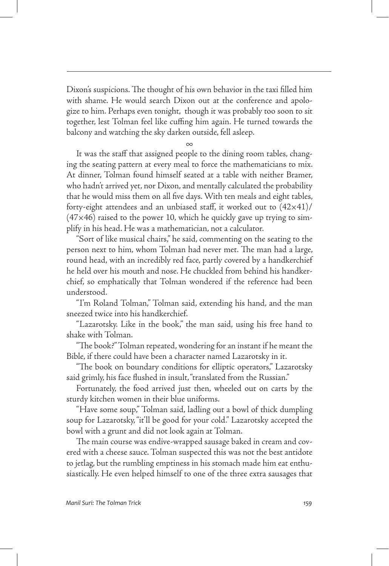Dixon's suspicions. The thought of his own behavior in the taxi filled him with shame. He would search Dixon out at the conference and apologize to him. Perhaps even tonight, though it was probably too soon to sit together, lest Tolman feel like cuffing him again. He turned towards the balcony and watching the sky darken outside, fell asleep.

∞

It was the staff that assigned people to the dining room tables, changing the seating pattern at every meal to force the mathematicians to mix. At dinner, Tolman found himself seated at a table with neither Bramer, who hadn't arrived yet, nor Dixon, and mentally calculated the probability that he would miss them on all five days. With ten meals and eight tables, forty-eight attendees and an unbiased staff, it worked out to  $(42\times41)/$  $(47\times46)$  raised to the power 10, which he quickly gave up trying to simplify in his head. He was a mathematician, not a calculator.

"Sort of like musical chairs," he said, commenting on the seating to the person next to him, whom Tolman had never met. The man had a large, round head, with an incredibly red face, partly covered by a handkerchief he held over his mouth and nose. He chuckled from behind his handkerchief, so emphatically that Tolman wondered if the reference had been understood.

"I'm Roland Tolman," Tolman said, extending his hand, and the man sneezed twice into his handkerchief.

"Lazarotsky. Like in the book," the man said, using his free hand to shake with Tolman.

"The book?" Tolman repeated, wondering for an instant if he meant the Bible, if there could have been a character named Lazarotsky in it.

"The book on boundary conditions for elliptic operators," Lazarotsky said grimly, his face flushed in insult, "translated from the Russian."

Fortunately, the food arrived just then, wheeled out on carts by the sturdy kitchen women in their blue uniforms.

"Have some soup," Tolman said, ladling out a bowl of thick dumpling soup for Lazarotsky, "it'll be good for your cold." Lazarotsky accepted the bowl with a grunt and did not look again at Tolman.

The main course was endive-wrapped sausage baked in cream and covered with a cheese sauce. Tolman suspected this was not the best antidote to jetlag, but the rumbling emptiness in his stomach made him eat enthusiastically. He even helped himself to one of the three extra sausages that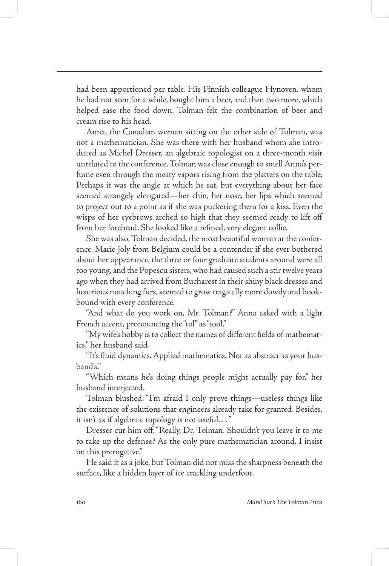had been apportioned per table. His Finnish colleague Hynoven, whom he had not seen for a while, bought him a beer, and then two more, which helped ease the food down. Tolman felt the combination of beer and cream rise to his head.

Anna, the Canadian woman sitting on the other side of Tolman, was not a mathematician. She was there with her husband whom she introduced as Michel Dresser, an algebraic topologist on a three-month visit unrelated to the conference. Tolman was close enough to smell Anna's perfume even through the meaty vapors rising from the platters on the table. Perhaps it was the angle at which he sat, but everything about her face seemed strangely elongated—her chin, her nose, her lips which seemed to project out to a point as if she was puckering them for a kiss. Even the wisps of her eyebrows arched so high that they seemed ready to lift off from her forehead. She looked like a refined, very elegant collie.

She was also, Tolman decided, the most beautiful woman at the conference. Marie Joly from Belgium could be a contender if she ever bothered about her appearance, the three or four graduate students around were all too young, and the Popescu sisters, who had caused such a stir twelve years ago when they had arrived from Bucharest in their shiny black dresses and luxurious matching furs, seemed to grow tragically more dowdy and bookbound with every conference.

"And what do you work on, Mr. Tolman?" Anna asked with a light French accent, pronouncing the "tol" as "tool."

"My wife's hobby is to collect the names of different fields of mathematics," her husband said.

"It's fluid dynamics. Applied mathematics. Not as abstract as your husband's."

"Which means he's doing things people might actually pay for," her husband interjected.

Tolman blushed. "I'm afraid I only prove things—useless things like the existence of solutions that engineers already take for granted. Besides, it isn't as if algebraic topology is not useful. . . "

Dresser cut him off. "Really, Dr. Tolman. Shouldn't you leave it to me to take up the defense? As the only pure mathematician around, I insist on this prerogative."

He said it as a joke, but Tolman did not miss the sharpness beneath the surface, like a hidden layer of ice crackling underfoot.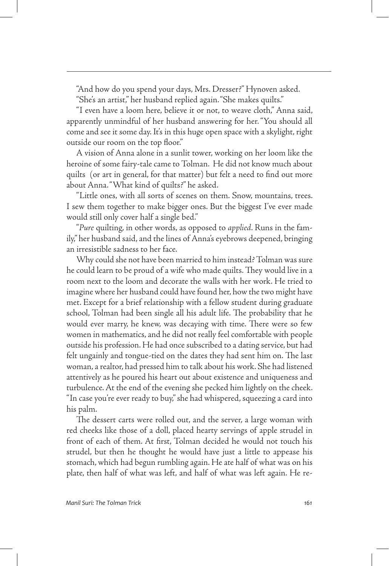"And how do you spend your days, Mrs. Dresser?" Hynoven asked.

"She's an artist," her husband replied again. "She makes quilts."

"I even have a loom here, believe it or not, to weave cloth," Anna said, apparently unmindful of her husband answering for her. "You should all come and see it some day. It's in this huge open space with a skylight, right outside our room on the top floor."

A vision of Anna alone in a sunlit tower, working on her loom like the heroine of some fairy-tale came to Tolman. He did not know much about quilts (or art in general, for that matter) but felt a need to find out more about Anna. "What kind of quilts?" he asked.

"Little ones, with all sorts of scenes on them. Snow, mountains, trees. I sew them together to make bigger ones. But the biggest I've ever made would still only cover half a single bed."

"*Pure* quilting, in other words, as opposed to *applied*. Runs in the family," her husband said, and the lines of Anna's eyebrows deepened, bringing an irresistible sadness to her face.

Why could she not have been married to him instead? Tolman was sure he could learn to be proud of a wife who made quilts. They would live in a room next to the loom and decorate the walls with her work. He tried to imagine where her husband could have found her, how the two might have met. Except for a brief relationship with a fellow student during graduate school, Tolman had been single all his adult life. The probability that he would ever marry, he knew, was decaying with time. There were so few women in mathematics, and he did not really feel comfortable with people outside his profession. He had once subscribed to a dating service, but had felt ungainly and tongue-tied on the dates they had sent him on. The last woman, a realtor, had pressed him to talk about his work. She had listened attentively as he poured his heart out about existence and uniqueness and turbulence. At the end of the evening she pecked him lightly on the cheek. "In case you're ever ready to buy," she had whispered, squeezing a card into his palm.

The dessert carts were rolled out, and the server, a large woman with red cheeks like those of a doll, placed hearty servings of apple strudel in front of each of them. At first, Tolman decided he would not touch his strudel, but then he thought he would have just a little to appease his stomach, which had begun rumbling again. He ate half of what was on his plate, then half of what was left, and half of what was left again. He re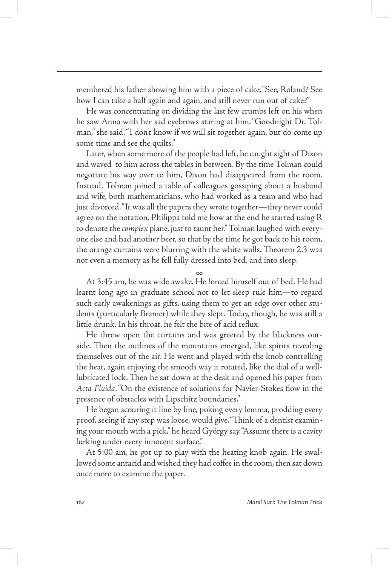membered his father showing him with a piece of cake. "See, Roland? See how I can take a half again and again, and still never run out of cake?"

He was concentrating on dividing the last few crumbs left on his when he saw Anna with her sad eyebrows staring at him. "Goodnight Dr. Tolman," she said. "I don't know if we will sit together again, but do come up some time and see the quilts."

Later, when some more of the people had left, he caught sight of Dixon and waved to him across the tables in between. By the time Tolman could negotiate his way over to him, Dixon had disappeared from the room. Instead, Tolman joined a table of colleagues gossiping about a husband and wife, both mathematicians, who had worked as a team and who had just divorced. "It was all the papers they wrote together—they never could agree on the notation. Philippa told me how at the end he started using R to denote the *complex* plane, just to taunt her." Tolman laughed with everyone else and had another beer, so that by the time he got back to his room, the orange curtains were blurring with the white walls. Theorem 2.3 was not even a memory as he fell fully dressed into bed, and into sleep.

∞

At 3:45 am, he was wide awake. He forced himself out of bed. He had learnt long ago in graduate school not to let sleep rule him—to regard such early awakenings as gifts, using them to get an edge over other students (particularly Bramer) while they slept. Today, though, he was still a little drunk. In his throat, he felt the bite of acid reflux.

He threw open the curtains and was greeted by the blackness outside. Then the outlines of the mountains emerged, like spirits revealing themselves out of the air. He went and played with the knob controlling the heat, again enjoying the smooth way it rotated, like the dial of a welllubricated lock. Then he sat down at the desk and opened his paper from *Acta Fluida*. "On the existence of solutions for Navier-Stokes flow in the presence of obstacles with Lipschitz boundaries."

He began scouring it line by line, poking every lemma, prodding every proof, seeing if any step was loose, would give. "Think of a dentist examining your mouth with a pick," he heard György say. "Assume there is a cavity lurking under every innocent surface."

At 5:00 am, he got up to play with the heating knob again. He swallowed some antacid and wished they had coffee in the room, then sat down once more to examine the paper.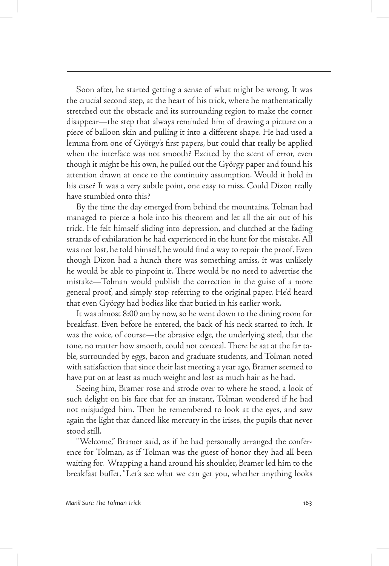Soon after, he started getting a sense of what might be wrong. It was the crucial second step, at the heart of his trick, where he mathematically stretched out the obstacle and its surrounding region to make the corner disappear—the step that always reminded him of drawing a picture on a piece of balloon skin and pulling it into a different shape. He had used a lemma from one of György's first papers, but could that really be applied when the interface was not smooth? Excited by the scent of error, even though it might be his own, he pulled out the György paper and found his attention drawn at once to the continuity assumption. Would it hold in his case? It was a very subtle point, one easy to miss. Could Dixon really have stumbled onto this?

By the time the day emerged from behind the mountains, Tolman had managed to pierce a hole into his theorem and let all the air out of his trick. He felt himself sliding into depression, and clutched at the fading strands of exhilaration he had experienced in the hunt for the mistake. All was not lost, he told himself, he would find a way to repair the proof. Even though Dixon had a hunch there was something amiss, it was unlikely he would be able to pinpoint it. There would be no need to advertise the mistake—Tolman would publish the correction in the guise of a more general proof, and simply stop referring to the original paper. He'd heard that even György had bodies like that buried in his earlier work.

It was almost 8:00 am by now, so he went down to the dining room for breakfast. Even before he entered, the back of his neck started to itch. It was the voice, of course—the abrasive edge, the underlying steel, that the tone, no matter how smooth, could not conceal. There he sat at the far table, surrounded by eggs, bacon and graduate students, and Tolman noted with satisfaction that since their last meeting a year ago, Bramer seemed to have put on at least as much weight and lost as much hair as he had.

Seeing him, Bramer rose and strode over to where he stood, a look of such delight on his face that for an instant, Tolman wondered if he had not misjudged him. Then he remembered to look at the eyes, and saw again the light that danced like mercury in the irises, the pupils that never stood still.

"Welcome," Bramer said, as if he had personally arranged the conference for Tolman, as if Tolman was the guest of honor they had all been waiting for. Wrapping a hand around his shoulder, Bramer led him to the breakfast buffet. "Let's see what we can get you, whether anything looks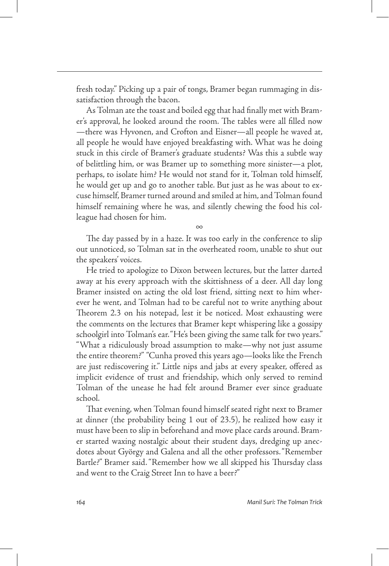fresh today." Picking up a pair of tongs, Bramer began rummaging in dissatisfaction through the bacon.

As Tolman ate the toast and boiled egg that had finally met with Bramer's approval, he looked around the room. The tables were all filled now —there was Hyvonen, and Crofton and Eisner—all people he waved at, all people he would have enjoyed breakfasting with. What was he doing stuck in this circle of Bramer's graduate students? Was this a subtle way of belittling him, or was Bramer up to something more sinister—a plot, perhaps, to isolate him? He would not stand for it, Tolman told himself, he would get up and go to another table. But just as he was about to excuse himself, Bramer turned around and smiled at him, and Tolman found himself remaining where he was, and silently chewing the food his colleague had chosen for him.

∞

The day passed by in a haze. It was too early in the conference to slip out unnoticed, so Tolman sat in the overheated room, unable to shut out the speakers' voices.

He tried to apologize to Dixon between lectures, but the latter darted away at his every approach with the skittishness of a deer. All day long Bramer insisted on acting the old lost friend, sitting next to him wherever he went, and Tolman had to be careful not to write anything about Theorem 2.3 on his notepad, lest it be noticed. Most exhausting were the comments on the lectures that Bramer kept whispering like a gossipy schoolgirl into Tolman's ear. "He's been giving the same talk for two years." "What a ridiculously broad assumption to make—why not just assume the entire theorem?" "Cunha proved this years ago—looks like the French are just rediscovering it." Little nips and jabs at every speaker, offered as implicit evidence of trust and friendship, which only served to remind Tolman of the unease he had felt around Bramer ever since graduate school.

That evening, when Tolman found himself seated right next to Bramer at dinner (the probability being 1 out of 23.5), he realized how easy it must have been to slip in beforehand and move place cards around. Bramer started waxing nostalgic about their student days, dredging up anecdotes about György and Galena and all the other professors. "Remember Bartle?" Bramer said. "Remember how we all skipped his Thursday class and went to the Craig Street Inn to have a beer?"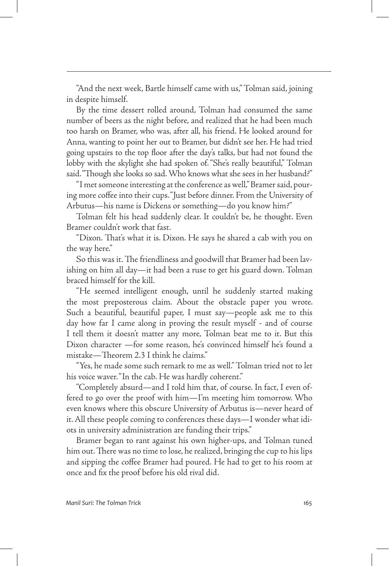"And the next week, Bartle himself came with us," Tolman said, joining in despite himself.

By the time dessert rolled around, Tolman had consumed the same number of beers as the night before, and realized that he had been much too harsh on Bramer, who was, after all, his friend. He looked around for Anna, wanting to point her out to Bramer, but didn't see her. He had tried going upstairs to the top floor after the day's talks, but had not found the lobby with the skylight she had spoken of. "She's really beautiful," Tolman said. "Though she looks so sad. Who knows what she sees in her husband?"

"I met someone interesting at the conference as well," Bramer said, pouring more coffee into their cups. "Just before dinner. From the University of Arbutus—his name is Dickens or something—do you know him?"

Tolman felt his head suddenly clear. It couldn't be, he thought. Even Bramer couldn't work that fast.

"Dixon. That's what it is. Dixon. He says he shared a cab with you on the way here."

So this was it. The friendliness and goodwill that Bramer had been lavishing on him all day—it had been a ruse to get his guard down. Tolman braced himself for the kill.

"He seemed intelligent enough, until he suddenly started making the most preposterous claim. About the obstacle paper you wrote. Such a beautiful, beautiful paper, I must say—people ask me to this day how far I came along in proving the result myself - and of course I tell them it doesn't matter any more, Tolman beat me to it. But this Dixon character —for some reason, he's convinced himself he's found a mistake—Theorem 2.3 I think he claims."

"Yes, he made some such remark to me as well." Tolman tried not to let his voice waver. "In the cab. He was hardly coherent."

"Completely absurd—and I told him that, of course. In fact, I even offered to go over the proof with him—I'm meeting him tomorrow. Who even knows where this obscure University of Arbutus is—never heard of it. All these people coming to conferences these days—I wonder what idiots in university administration are funding their trips."

Bramer began to rant against his own higher-ups, and Tolman tuned him out. There was no time to lose, he realized, bringing the cup to his lips and sipping the coffee Bramer had poured. He had to get to his room at once and fix the proof before his old rival did.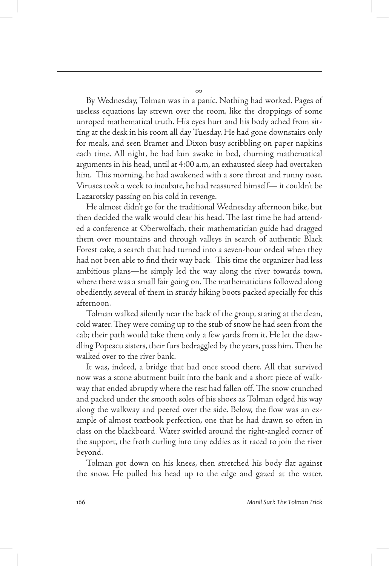By Wednesday, Tolman was in a panic. Nothing had worked. Pages of useless equations lay strewn over the room, like the droppings of some unroped mathematical truth. His eyes hurt and his body ached from sitting at the desk in his room all day Tuesday. He had gone downstairs only for meals, and seen Bramer and Dixon busy scribbling on paper napkins each time. All night, he had lain awake in bed, churning mathematical arguments in his head, until at 4:00 a.m, an exhausted sleep had overtaken him. This morning, he had awakened with a sore throat and runny nose. Viruses took a week to incubate, he had reassured himself— it couldn't be Lazarotsky passing on his cold in revenge.

He almost didn't go for the traditional Wednesday afternoon hike, but then decided the walk would clear his head. The last time he had attended a conference at Oberwolfach, their mathematician guide had dragged them over mountains and through valleys in search of authentic Black Forest cake, a search that had turned into a seven-hour ordeal when they had not been able to find their way back. This time the organizer had less ambitious plans—he simply led the way along the river towards town, where there was a small fair going on. The mathematicians followed along obediently, several of them in sturdy hiking boots packed specially for this afternoon.

Tolman walked silently near the back of the group, staring at the clean, cold water. They were coming up to the stub of snow he had seen from the cab; their path would take them only a few yards from it. He let the dawdling Popescu sisters, their furs bedraggled by the years, pass him. Then he walked over to the river bank.

It was, indeed, a bridge that had once stood there. All that survived now was a stone abutment built into the bank and a short piece of walkway that ended abruptly where the rest had fallen off. The snow crunched and packed under the smooth soles of his shoes as Tolman edged his way along the walkway and peered over the side. Below, the flow was an example of almost textbook perfection, one that he had drawn so often in class on the blackboard. Water swirled around the right-angled corner of the support, the froth curling into tiny eddies as it raced to join the river beyond.

Tolman got down on his knees, then stretched his body flat against the snow. He pulled his head up to the edge and gazed at the water.

∞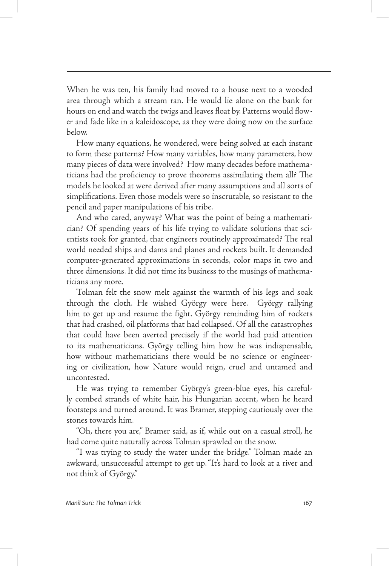When he was ten, his family had moved to a house next to a wooded area through which a stream ran. He would lie alone on the bank for hours on end and watch the twigs and leaves float by. Patterns would flower and fade like in a kaleidoscope, as they were doing now on the surface below.

How many equations, he wondered, were being solved at each instant to form these patterns? How many variables, how many parameters, how many pieces of data were involved? How many decades before mathematicians had the proficiency to prove theorems assimilating them all? The models he looked at were derived after many assumptions and all sorts of simplifications. Even those models were so inscrutable, so resistant to the pencil and paper manipulations of his tribe.

And who cared, anyway? What was the point of being a mathematician? Of spending years of his life trying to validate solutions that scientists took for granted, that engineers routinely approximated? The real world needed ships and dams and planes and rockets built. It demanded computer-generated approximations in seconds, color maps in two and three dimensions. It did not time its business to the musings of mathematicians any more.

Tolman felt the snow melt against the warmth of his legs and soak through the cloth. He wished György were here. György rallying him to get up and resume the fight. György reminding him of rockets that had crashed, oil platforms that had collapsed. Of all the catastrophes that could have been averted precisely if the world had paid attention to its mathematicians. György telling him how he was indispensable, how without mathematicians there would be no science or engineering or civilization, how Nature would reign, cruel and untamed and uncontested.

He was trying to remember György's green-blue eyes, his carefully combed strands of white hair, his Hungarian accent, when he heard footsteps and turned around. It was Bramer, stepping cautiously over the stones towards him.

"Oh, there you are," Bramer said, as if, while out on a casual stroll, he had come quite naturally across Tolman sprawled on the snow.

"I was trying to study the water under the bridge." Tolman made an awkward, unsuccessful attempt to get up. "It's hard to look at a river and not think of György."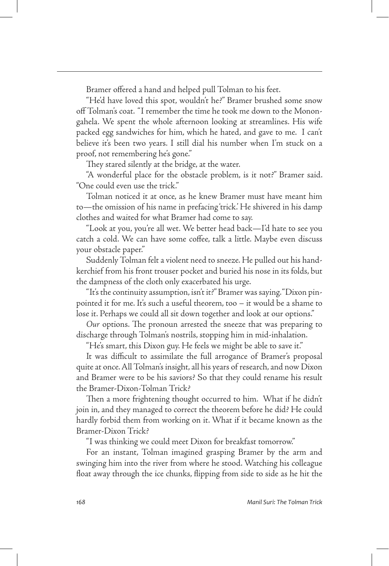Bramer offered a hand and helped pull Tolman to his feet.

"He'd have loved this spot, wouldn't he?" Bramer brushed some snow off Tolman's coat. "I remember the time he took me down to the Monongahela. We spent the whole afternoon looking at streamlines. His wife packed egg sandwiches for him, which he hated, and gave to me. I can't believe it's been two years. I still dial his number when I'm stuck on a proof, not remembering he's gone."

They stared silently at the bridge, at the water.

"A wonderful place for the obstacle problem, is it not?" Bramer said. "One could even use the trick."

Tolman noticed it at once, as he knew Bramer must have meant him to—the omission of his name in prefacing 'trick.' He shivered in his damp clothes and waited for what Bramer had come to say.

"Look at you, you're all wet. We better head back—I'd hate to see you catch a cold. We can have some coffee, talk a little. Maybe even discuss your obstacle paper."

Suddenly Tolman felt a violent need to sneeze. He pulled out his handkerchief from his front trouser pocket and buried his nose in its folds, but the dampness of the cloth only exacerbated his urge.

"It's the continuity assumption, isn't it?" Bramer was saying. "Dixon pinpointed it for me. It's such a useful theorem, too – it would be a shame to lose it. Perhaps we could all sit down together and look at our options."

*Our* options. The pronoun arrested the sneeze that was preparing to discharge through Tolman's nostrils, stopping him in mid-inhalation.

"He's smart, this Dixon guy. He feels we might be able to save it."

It was difficult to assimilate the full arrogance of Bramer's proposal quite at once. All Tolman's insight, all his years of research, and now Dixon and Bramer were to be his saviors? So that they could rename his result the Bramer-Dixon-Tolman Trick?

Then a more frightening thought occurred to him. What if he didn't join in, and they managed to correct the theorem before he did? He could hardly forbid them from working on it. What if it became known as the Bramer-Dixon Trick?

"I was thinking we could meet Dixon for breakfast tomorrow."

For an instant, Tolman imagined grasping Bramer by the arm and swinging him into the river from where he stood. Watching his colleague float away through the ice chunks, flipping from side to side as he hit the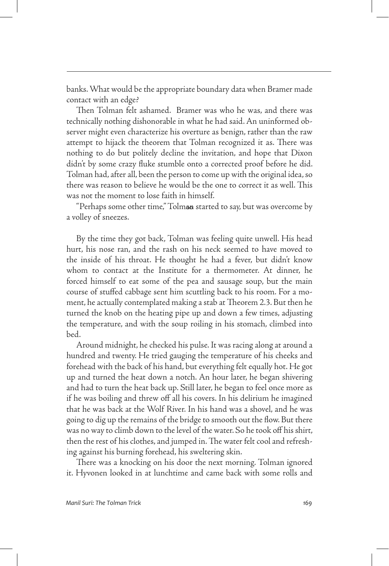banks. What would be the appropriate boundary data when Bramer made contact with an edge?

Then Tolman felt ashamed. Bramer was who he was, and there was technically nothing dishonorable in what he had said. An uninformed observer might even characterize his overture as benign, rather than the raw attempt to hijack the theorem that Tolman recognized it as. There was nothing to do but politely decline the invitation, and hope that Dixon didn't by some crazy fluke stumble onto a corrected proof before he did. Tolman had, after all, been the person to come up with the original idea, so there was reason to believe he would be the one to correct it as well. This was not the moment to lose faith in himself.

"Perhaps some other time," Tolm**an** started to say, but was overcome by a volley of sneezes.

By the time they got back, Tolman was feeling quite unwell. His head hurt, his nose ran, and the rash on his neck seemed to have moved to the inside of his throat. He thought he had a fever, but didn't know whom to contact at the Institute for a thermometer. At dinner, he forced himself to eat some of the pea and sausage soup, but the main course of stuffed cabbage sent him scuttling back to his room. For a moment, he actually contemplated making a stab at Theorem 2.3. But then he turned the knob on the heating pipe up and down a few times, adjusting the temperature, and with the soup roiling in his stomach, climbed into bed.

Around midnight, he checked his pulse. It was racing along at around a hundred and twenty. He tried gauging the temperature of his cheeks and forehead with the back of his hand, but everything felt equally hot. He got up and turned the heat down a notch. An hour later, he began shivering and had to turn the heat back up. Still later, he began to feel once more as if he was boiling and threw off all his covers. In his delirium he imagined that he was back at the Wolf River. In his hand was a shovel, and he was going to dig up the remains of the bridge to smooth out the flow. But there was no way to climb down to the level of the water. So he took off his shirt, then the rest of his clothes, and jumped in. The water felt cool and refreshing against his burning forehead, his sweltering skin.

There was a knocking on his door the next morning. Tolman ignored it. Hyvonen looked in at lunchtime and came back with some rolls and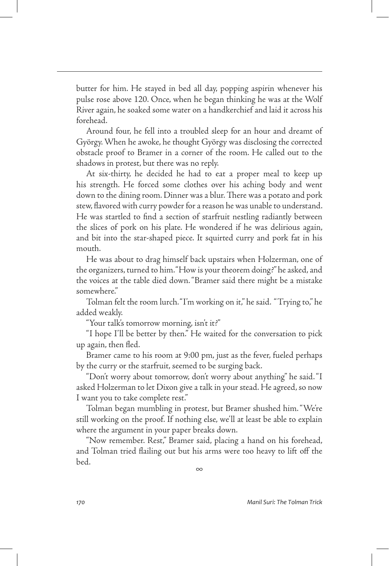butter for him. He stayed in bed all day, popping aspirin whenever his pulse rose above 120. Once, when he began thinking he was at the Wolf River again, he soaked some water on a handkerchief and laid it across his forehead.

Around four, he fell into a troubled sleep for an hour and dreamt of György. When he awoke, he thought György was disclosing the corrected obstacle proof to Bramer in a corner of the room. He called out to the shadows in protest, but there was no reply.

At six-thirty, he decided he had to eat a proper meal to keep up his strength. He forced some clothes over his aching body and went down to the dining room. Dinner was a blur. There was a potato and pork stew, flavored with curry powder for a reason he was unable to understand. He was startled to find a section of starfruit nestling radiantly between the slices of pork on his plate. He wondered if he was delirious again, and bit into the star-shaped piece. It squirted curry and pork fat in his mouth.

He was about to drag himself back upstairs when Holzerman, one of the organizers, turned to him. "How is your theorem doing?" he asked, and the voices at the table died down. "Bramer said there might be a mistake somewhere."

Tolman felt the room lurch. "I'm working on it," he said. "Trying to," he added weakly.

"Your talk's tomorrow morning, isn't it?"

"I hope I'll be better by then." He waited for the conversation to pick up again, then fled.

Bramer came to his room at 9:00 pm, just as the fever, fueled perhaps by the curry or the starfruit, seemed to be surging back.

"Don't worry about tomorrow, don't worry about anything" he said. "I asked Holzerman to let Dixon give a talk in your stead. He agreed, so now I want you to take complete rest."

Tolman began mumbling in protest, but Bramer shushed him. "We're still working on the proof. If nothing else, we'll at least be able to explain where the argument in your paper breaks down.

"Now remember. Rest," Bramer said, placing a hand on his forehead, and Tolman tried flailing out but his arms were too heavy to lift off the  $\qquad \qquad \circ \circ$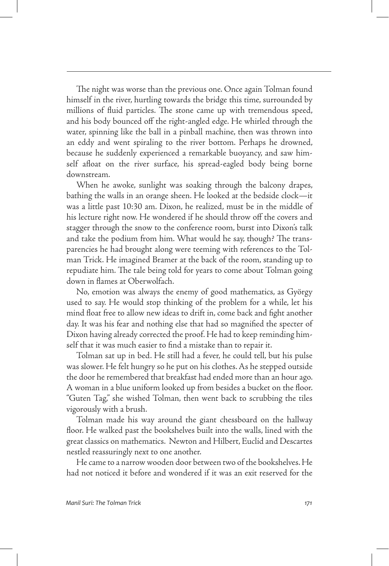The night was worse than the previous one. Once again Tolman found himself in the river, hurtling towards the bridge this time, surrounded by millions of fluid particles. The stone came up with tremendous speed, and his body bounced off the right-angled edge. He whirled through the water, spinning like the ball in a pinball machine, then was thrown into an eddy and went spiraling to the river bottom. Perhaps he drowned, because he suddenly experienced a remarkable buoyancy, and saw himself afloat on the river surface, his spread-eagled body being borne downstream.

When he awoke, sunlight was soaking through the balcony drapes, bathing the walls in an orange sheen. He looked at the bedside clock—it was a little past 10:30 am. Dixon, he realized, must be in the middle of his lecture right now. He wondered if he should throw off the covers and stagger through the snow to the conference room, burst into Dixon's talk and take the podium from him. What would he say, though? The transparencies he had brought along were teeming with references to the Tolman Trick. He imagined Bramer at the back of the room, standing up to repudiate him. The tale being told for years to come about Tolman going down in flames at Oberwolfach.

No, emotion was always the enemy of good mathematics, as György used to say. He would stop thinking of the problem for a while, let his mind float free to allow new ideas to drift in, come back and fight another day. It was his fear and nothing else that had so magnified the specter of Dixon having already corrected the proof. He had to keep reminding himself that it was much easier to find a mistake than to repair it.

Tolman sat up in bed. He still had a fever, he could tell, but his pulse was slower. He felt hungry so he put on his clothes. As he stepped outside the door he remembered that breakfast had ended more than an hour ago. A woman in a blue uniform looked up from besides a bucket on the floor. "Guten Tag," she wished Tolman, then went back to scrubbing the tiles vigorously with a brush.

Tolman made his way around the giant chessboard on the hallway floor. He walked past the bookshelves built into the walls, lined with the great classics on mathematics. Newton and Hilbert, Euclid and Descartes nestled reassuringly next to one another.

He came to a narrow wooden door between two of the bookshelves. He had not noticed it before and wondered if it was an exit reserved for the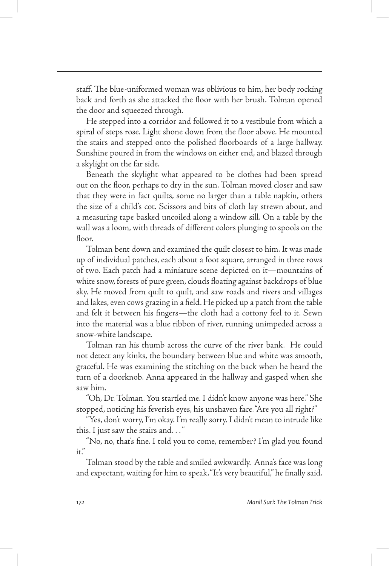staff. The blue-uniformed woman was oblivious to him, her body rocking back and forth as she attacked the floor with her brush. Tolman opened the door and squeezed through.

He stepped into a corridor and followed it to a vestibule from which a spiral of steps rose. Light shone down from the floor above. He mounted the stairs and stepped onto the polished floorboards of a large hallway. Sunshine poured in from the windows on either end, and blazed through a skylight on the far side.

Beneath the skylight what appeared to be clothes had been spread out on the floor, perhaps to dry in the sun. Tolman moved closer and saw that they were in fact quilts, some no larger than a table napkin, others the size of a child's cot. Scissors and bits of cloth lay strewn about, and a measuring tape basked uncoiled along a window sill. On a table by the wall was a loom, with threads of different colors plunging to spools on the floor.

Tolman bent down and examined the quilt closest to him. It was made up of individual patches, each about a foot square, arranged in three rows of two. Each patch had a miniature scene depicted on it—mountains of white snow, forests of pure green, clouds floating against backdrops of blue sky. He moved from quilt to quilt, and saw roads and rivers and villages and lakes, even cows grazing in a field. He picked up a patch from the table and felt it between his fingers—the cloth had a cottony feel to it. Sewn into the material was a blue ribbon of river, running unimpeded across a snow-white landscape.

Tolman ran his thumb across the curve of the river bank. He could not detect any kinks, the boundary between blue and white was smooth, graceful. He was examining the stitching on the back when he heard the turn of a doorknob. Anna appeared in the hallway and gasped when she saw him.

"Oh, Dr. Tolman. You startled me. I didn't know anyone was here." She stopped, noticing his feverish eyes, his unshaven face. "Are you all right?"

"Yes, don't worry, I'm okay. I'm really sorry. I didn't mean to intrude like this. I just saw the stairs and. . . "

"No, no, that's fine. I told you to come, remember? I'm glad you found it."

Tolman stood by the table and smiled awkwardly. Anna's face was long and expectant, waiting for him to speak. "It's very beautiful," he finally said.